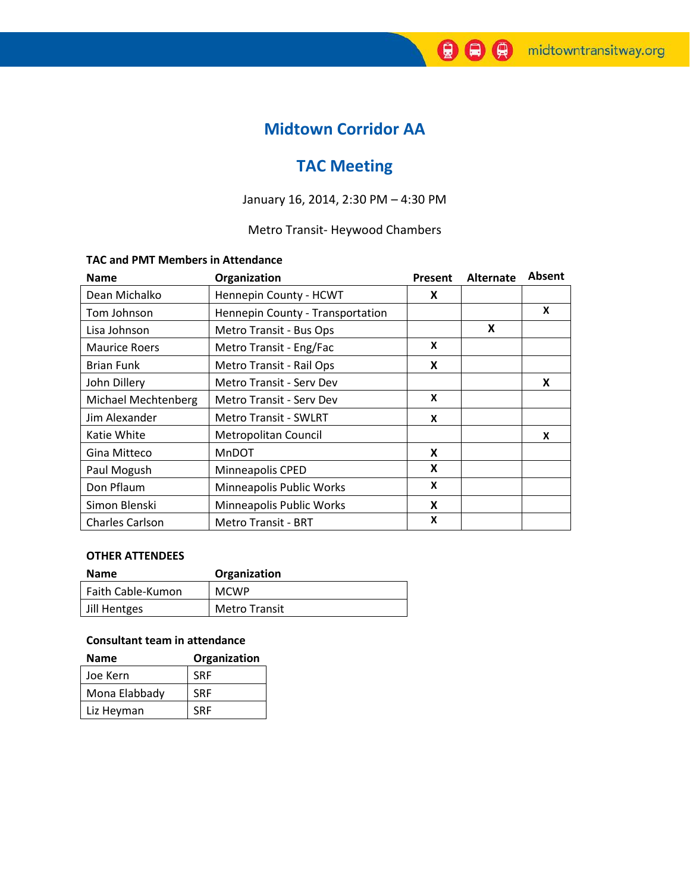# **Midtown Corridor AA**

# **TAC Meeting**

# January 16, 2014, 2:30 PM – 4:30 PM

# Metro Transit- Heywood Chambers

#### **TAC and PMT Members in Attendance**

| <b>Name</b>          | Organization                     | Present | Alternate | <b>Absent</b> |
|----------------------|----------------------------------|---------|-----------|---------------|
| Dean Michalko        | Hennepin County - HCWT           | X       |           |               |
| Tom Johnson          | Hennepin County - Transportation |         |           | x             |
| Lisa Johnson         | Metro Transit - Bus Ops          |         | X         |               |
| <b>Maurice Roers</b> | Metro Transit - Eng/Fac          | X       |           |               |
| <b>Brian Funk</b>    | Metro Transit - Rail Ops         | X       |           |               |
| John Dillery         | Metro Transit - Serv Dev         |         |           | X             |
| Michael Mechtenberg  | Metro Transit - Serv Dev         | X       |           |               |
| Jim Alexander        | <b>Metro Transit - SWLRT</b>     | X       |           |               |
| Katie White          | Metropolitan Council             |         |           | X             |
| Gina Mitteco         | <b>MnDOT</b>                     | X       |           |               |
| Paul Mogush          | Minneapolis CPED                 | X       |           |               |
| Don Pflaum           | Minneapolis Public Works         | X       |           |               |
| Simon Blenski        | Minneapolis Public Works         | X       |           |               |
| Charles Carlson      | <b>Metro Transit - BRT</b>       | X       |           |               |

#### **OTHER ATTENDEES**

| <b>Name</b>       | Organization         |
|-------------------|----------------------|
| Faith Cable-Kumon | <b>MCWP</b>          |
| Jill Hentges      | <b>Metro Transit</b> |

### **Consultant team in attendance**

| Name          | Organization |  |  |
|---------------|--------------|--|--|
| Joe Kern      | <b>SRF</b>   |  |  |
| Mona Elabbady | <b>SRF</b>   |  |  |
| Liz Heyman    | <b>SRF</b>   |  |  |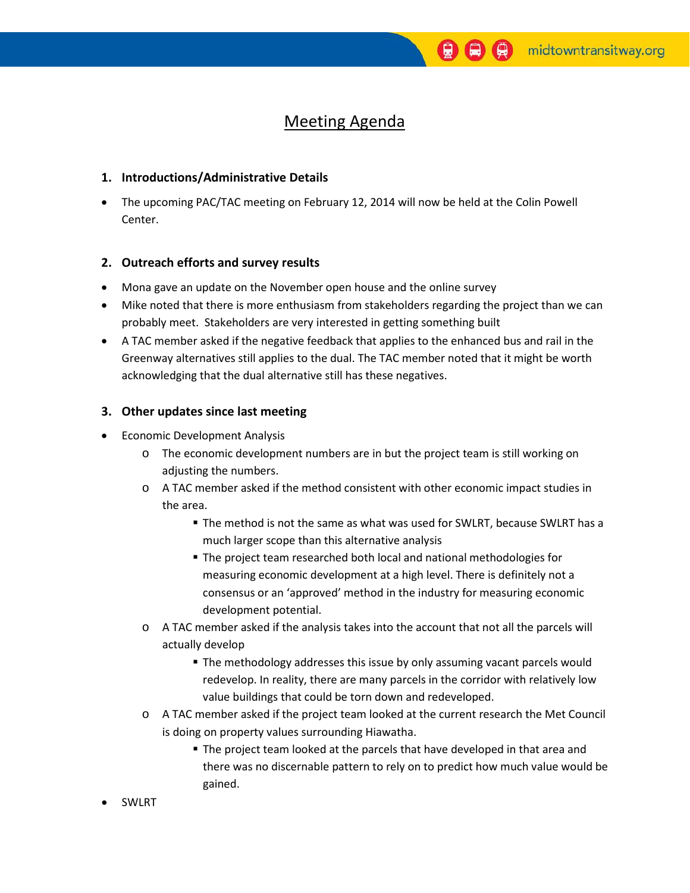# Meeting Agenda

#### **1. Introductions/Administrative Details**

• The upcoming PAC/TAC meeting on February 12, 2014 will now be held at the Colin Powell Center.

#### **2. Outreach efforts and survey results**

- Mona gave an update on the November open house and the online survey
- Mike noted that there is more enthusiasm from stakeholders regarding the project than we can probably meet. Stakeholders are very interested in getting something built
- A TAC member asked if the negative feedback that applies to the enhanced bus and rail in the Greenway alternatives still applies to the dual. The TAC member noted that it might be worth acknowledging that the dual alternative still has these negatives.

### **3. Other updates since last meeting**

- Economic Development Analysis
	- o The economic development numbers are in but the project team is still working on adjusting the numbers.
	- o A TAC member asked if the method consistent with other economic impact studies in the area.
		- The method is not the same as what was used for SWLRT, because SWLRT has a much larger scope than this alternative analysis
		- The project team researched both local and national methodologies for measuring economic development at a high level. There is definitely not a consensus or an 'approved' method in the industry for measuring economic development potential.
	- o A TAC member asked if the analysis takes into the account that not all the parcels will actually develop
		- **The methodology addresses this issue by only assuming vacant parcels would** redevelop. In reality, there are many parcels in the corridor with relatively low value buildings that could be torn down and redeveloped.
	- o A TAC member asked if the project team looked at the current research the Met Council is doing on property values surrounding Hiawatha.
		- **The project team looked at the parcels that have developed in that area and** there was no discernable pattern to rely on to predict how much value would be gained.
- **SWLRT**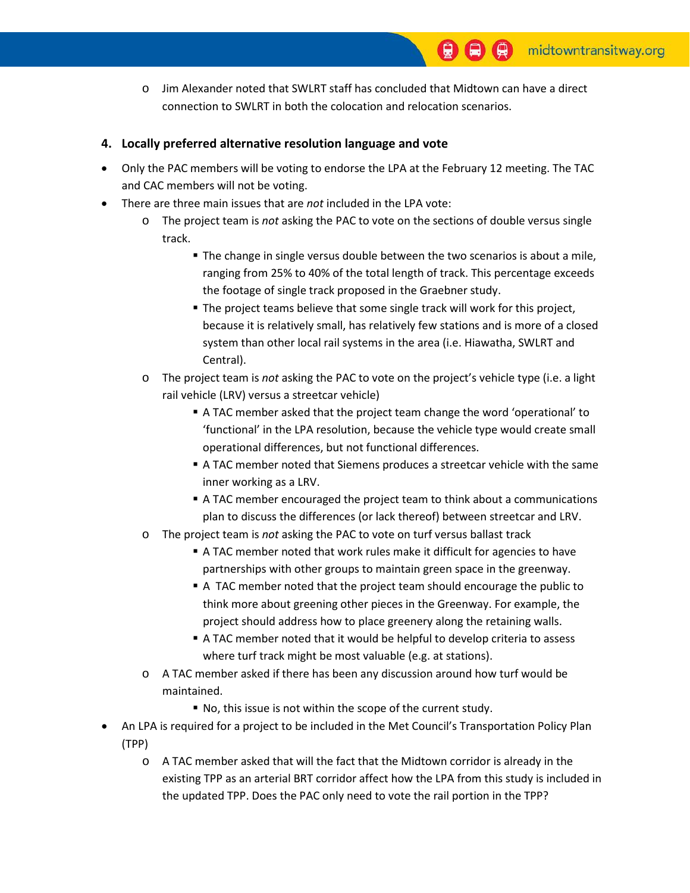- o Jim Alexander noted that SWLRT staff has concluded that Midtown can have a direct connection to SWLRT in both the colocation and relocation scenarios.
- **4. Locally preferred alternative resolution language and vote**
- Only the PAC members will be voting to endorse the LPA at the February 12 meeting. The TAC and CAC members will not be voting.
- There are three main issues that are *not* included in the LPA vote:
	- o The project team is *not* asking the PAC to vote on the sections of double versus single track.
		- The change in single versus double between the two scenarios is about a mile, ranging from 25% to 40% of the total length of track. This percentage exceeds the footage of single track proposed in the Graebner study.
		- The project teams believe that some single track will work for this project, because it is relatively small, has relatively few stations and is more of a closed system than other local rail systems in the area (i.e. Hiawatha, SWLRT and Central).
	- o The project team is *not* asking the PAC to vote on the project's vehicle type (i.e. a light rail vehicle (LRV) versus a streetcar vehicle)
		- A TAC member asked that the project team change the word 'operational' to 'functional' in the LPA resolution, because the vehicle type would create small operational differences, but not functional differences.
		- A TAC member noted that Siemens produces a streetcar vehicle with the same inner working as a LRV.
		- A TAC member encouraged the project team to think about a communications plan to discuss the differences (or lack thereof) between streetcar and LRV.
	- o The project team is *not* asking the PAC to vote on turf versus ballast track
		- A TAC member noted that work rules make it difficult for agencies to have partnerships with other groups to maintain green space in the greenway.
		- A TAC member noted that the project team should encourage the public to think more about greening other pieces in the Greenway. For example, the project should address how to place greenery along the retaining walls.
		- A TAC member noted that it would be helpful to develop criteria to assess where turf track might be most valuable (e.g. at stations).
	- o A TAC member asked if there has been any discussion around how turf would be maintained.
		- No, this issue is not within the scope of the current study.
- An LPA is required for a project to be included in the Met Council's Transportation Policy Plan (TPP)
	- o A TAC member asked that will the fact that the Midtown corridor is already in the existing TPP as an arterial BRT corridor affect how the LPA from this study is included in the updated TPP. Does the PAC only need to vote the rail portion in the TPP?